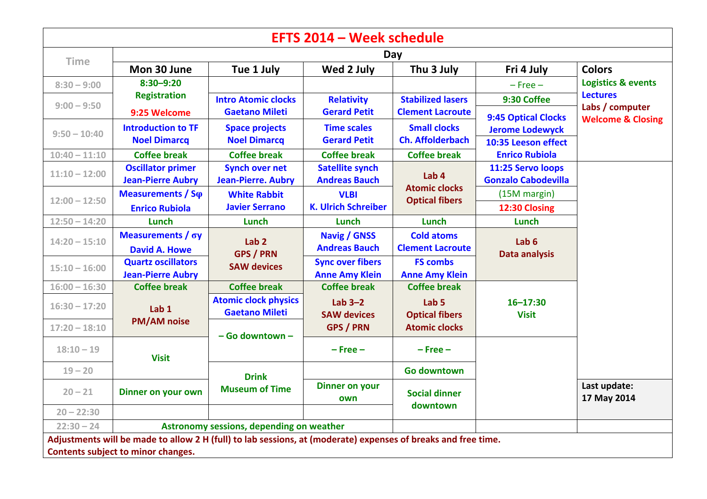| <b>EFTS 2014 - Week schedule</b>                                                                              |                                                       |                                                      |                                                  |                                                                   |                                                 |                                    |  |  |  |  |  |  |
|---------------------------------------------------------------------------------------------------------------|-------------------------------------------------------|------------------------------------------------------|--------------------------------------------------|-------------------------------------------------------------------|-------------------------------------------------|------------------------------------|--|--|--|--|--|--|
| <b>Time</b>                                                                                                   | Day                                                   |                                                      |                                                  |                                                                   |                                                 |                                    |  |  |  |  |  |  |
|                                                                                                               | Mon 30 June                                           | Tue 1 July                                           | Wed 2 July                                       | Thu 3 July                                                        | Fri 4 July                                      | <b>Colors</b>                      |  |  |  |  |  |  |
| $8:30 - 9:00$                                                                                                 | $8:30 - 9:20$                                         |                                                      |                                                  |                                                                   | $-$ Free $-$                                    | <b>Logistics &amp; events</b>      |  |  |  |  |  |  |
| $9:00 - 9:50$                                                                                                 | <b>Registration</b>                                   | <b>Intro Atomic clocks</b>                           | <b>Relativity</b><br><b>Gerard Petit</b>         | <b>Stabilized lasers</b><br><b>Clement Lacroute</b>               | 9:30 Coffee                                     | <b>Lectures</b><br>Labs / computer |  |  |  |  |  |  |
|                                                                                                               | 9:25 Welcome                                          | <b>Gaetano Mileti</b>                                |                                                  |                                                                   | <b>9:45 Optical Clocks</b>                      | <b>Welcome &amp; Closing</b>       |  |  |  |  |  |  |
| $9:50 - 10:40$                                                                                                | <b>Introduction to TF</b><br><b>Noel Dimarcq</b>      | <b>Space projects</b><br><b>Noel Dimarcq</b>         | <b>Time scales</b><br><b>Gerard Petit</b>        | <b>Small clocks</b><br><b>Ch. Affolderbach</b>                    | <b>Jerome Lodewyck</b><br>10:35 Leeson effect   |                                    |  |  |  |  |  |  |
| $10:40 - 11:10$                                                                                               | <b>Coffee break</b>                                   | <b>Coffee break</b>                                  | <b>Coffee break</b>                              | <b>Coffee break</b>                                               | <b>Enrico Rubiola</b>                           |                                    |  |  |  |  |  |  |
| $11:10 - 12:00$                                                                                               | <b>Oscillator primer</b><br><b>Jean-Pierre Aubry</b>  | <b>Synch over net</b><br><b>Jean-Pierre. Aubry</b>   | <b>Satellite synch</b><br><b>Andreas Bauch</b>   | Lab <sub>4</sub><br><b>Atomic clocks</b><br><b>Optical fibers</b> | 11:25 Servo loops<br><b>Gonzalo Cabodevilla</b> |                                    |  |  |  |  |  |  |
| $12:00 - 12:50$                                                                                               | Measurements / So                                     | <b>White Rabbit</b>                                  | <b>VLBI</b><br><b>K. Ulrich Schreiber</b>        |                                                                   | (15M margin)                                    |                                    |  |  |  |  |  |  |
|                                                                                                               | <b>Enrico Rubiola</b>                                 | <b>Javier Serrano</b>                                |                                                  |                                                                   | 12:30 Closing                                   |                                    |  |  |  |  |  |  |
| $12:50 - 14:20$                                                                                               | Lunch                                                 | <b>Lunch</b>                                         | Lunch                                            | <b>Lunch</b>                                                      | <b>Lunch</b>                                    |                                    |  |  |  |  |  |  |
| $14:20 - 15:10$                                                                                               | Measurements / σy<br><b>David A. Howe</b>             | Lab <sub>2</sub><br><b>GPS / PRN</b>                 | <b>Navig / GNSS</b><br><b>Andreas Bauch</b>      | <b>Cold atoms</b><br><b>Clement Lacroute</b>                      | Lab $6$<br><b>Data analysis</b>                 |                                    |  |  |  |  |  |  |
| $15:10 - 16:00$                                                                                               | <b>Quartz oscillators</b><br><b>Jean-Pierre Aubry</b> | <b>SAW devices</b>                                   | <b>Sync over fibers</b><br><b>Anne Amy Klein</b> | <b>FS combs</b><br><b>Anne Amy Klein</b>                          |                                                 |                                    |  |  |  |  |  |  |
| $16:00 - 16:30$                                                                                               | <b>Coffee break</b>                                   | <b>Coffee break</b>                                  | <b>Coffee break</b>                              | <b>Coffee break</b>                                               |                                                 |                                    |  |  |  |  |  |  |
| $16:30 - 17:20$                                                                                               | Lab <sub>1</sub>                                      | <b>Atomic clock physics</b><br><b>Gaetano Mileti</b> | Lab $3-2$<br><b>SAW devices</b>                  | Lab <sub>5</sub><br><b>Optical fibers</b><br><b>Atomic clocks</b> | $16 - 17:30$<br><b>Visit</b>                    |                                    |  |  |  |  |  |  |
| $17:20 - 18:10$                                                                                               | <b>PM/AM noise</b>                                    | - Go downtown -                                      | <b>GPS / PRN</b>                                 |                                                                   |                                                 |                                    |  |  |  |  |  |  |
| $18:10 - 19$                                                                                                  | <b>Visit</b>                                          |                                                      | $-$ Free $-$                                     | $-$ Free $-$                                                      |                                                 |                                    |  |  |  |  |  |  |
| $19 - 20$                                                                                                     |                                                       | <b>Drink</b><br><b>Museum of Time</b>                |                                                  | <b>Go downtown</b>                                                |                                                 |                                    |  |  |  |  |  |  |
| $20 - 21$                                                                                                     | Dinner on your own                                    |                                                      | <b>Dinner on your</b><br>own                     | <b>Social dinner</b><br>downtown                                  |                                                 | Last update:<br>17 May 2014        |  |  |  |  |  |  |
| $20 - 22:30$                                                                                                  |                                                       |                                                      |                                                  |                                                                   |                                                 |                                    |  |  |  |  |  |  |
| $22:30 - 24$                                                                                                  | Astronomy sessions, depending on weather              |                                                      |                                                  |                                                                   |                                                 |                                    |  |  |  |  |  |  |
| Adjustments will be made to allow 2 H (full) to lab sessions, at (moderate) expenses of breaks and free time. |                                                       |                                                      |                                                  |                                                                   |                                                 |                                    |  |  |  |  |  |  |
| Contents subject to minor changes.                                                                            |                                                       |                                                      |                                                  |                                                                   |                                                 |                                    |  |  |  |  |  |  |